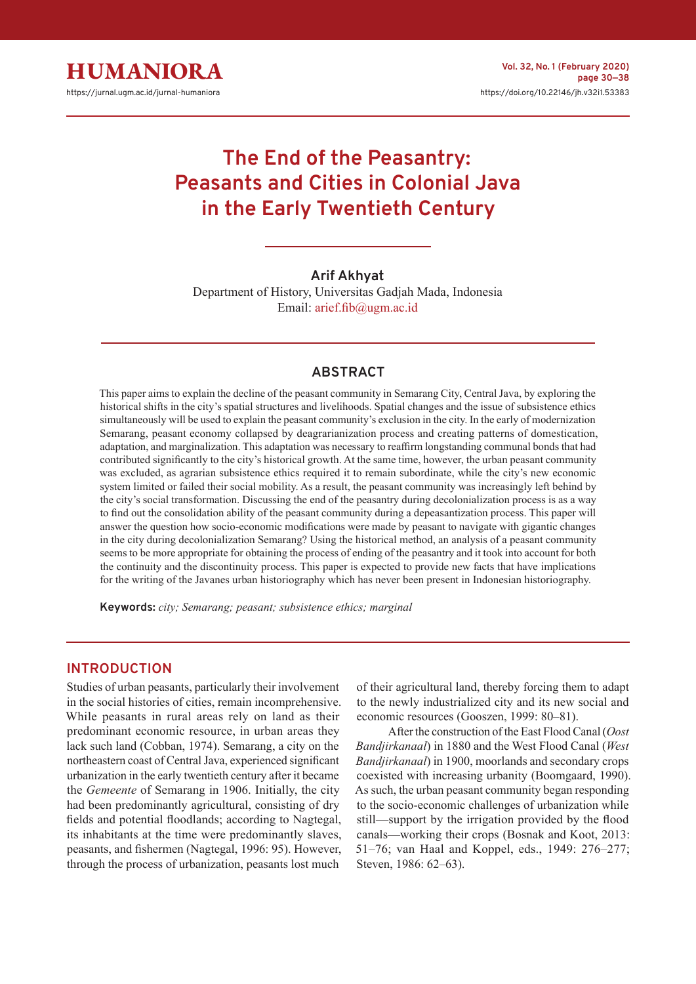

# **The End of the Peasantry: Peasants and Cities in Colonial Java in the Early Twentieth Century**

## **Arif Akhyat**

Department of History, Universitas Gadjah Mada, Indonesia Email: arief.fib@ugm.ac.id

## **ABSTRACT**

This paper aims to explain the decline of the peasant community in Semarang City, Central Java, by exploring the historical shifts in the city's spatial structures and livelihoods. Spatial changes and the issue of subsistence ethics simultaneously will be used to explain the peasant community's exclusion in the city. In the early of modernization Semarang, peasant economy collapsed by deagrarianization process and creating patterns of domestication, adaptation, and marginalization. This adaptation was necessary to reaffirm longstanding communal bonds that had contributed significantly to the city's historical growth. At the same time, however, the urban peasant community was excluded, as agrarian subsistence ethics required it to remain subordinate, while the city's new economic system limited or failed their social mobility. As a result, the peasant community was increasingly left behind by the city's social transformation. Discussing the end of the peasantry during decolonialization process is as a way to find out the consolidation ability of the peasant community during a depeasantization process. This paper will answer the question how socio-economic modifications were made by peasant to navigate with gigantic changes in the city during decolonialization Semarang? Using the historical method, an analysis of a peasant community seems to be more appropriate for obtaining the process of ending of the peasantry and it took into account for both the continuity and the discontinuity process. This paper is expected to provide new facts that have implications for the writing of the Javanes urban historiography which has never been present in Indonesian historiography.

**Keywords:** *city; Semarang; peasant; subsistence ethics; marginal*

### **INTRODUCTION**

Studies of urban peasants, particularly their involvement in the social histories of cities, remain incomprehensive. While peasants in rural areas rely on land as their predominant economic resource, in urban areas they lack such land (Cobban, 1974). Semarang, a city on the northeastern coast of Central Java, experienced significant urbanization in the early twentieth century after it became the *Gemeente* of Semarang in 1906. Initially, the city had been predominantly agricultural, consisting of dry fields and potential floodlands; according to Nagtegal, its inhabitants at the time were predominantly slaves, peasants, and fishermen (Nagtegal, 1996: 95). However, through the process of urbanization, peasants lost much

of their agricultural land, thereby forcing them to adapt to the newly industrialized city and its new social and economic resources (Gooszen, 1999: 80–81).

After the construction of the East Flood Canal (*Oost Bandjirkanaal*) in 1880 and the West Flood Canal (*West Bandjirkanaal*) in 1900, moorlands and secondary crops coexisted with increasing urbanity (Boomgaard, 1990). As such, the urban peasant community began responding to the socio-economic challenges of urbanization while still—support by the irrigation provided by the flood canals—working their crops (Bosnak and Koot, 2013: 51–76; van Haal and Koppel, eds., 1949: 276–277; Steven, 1986: 62–63).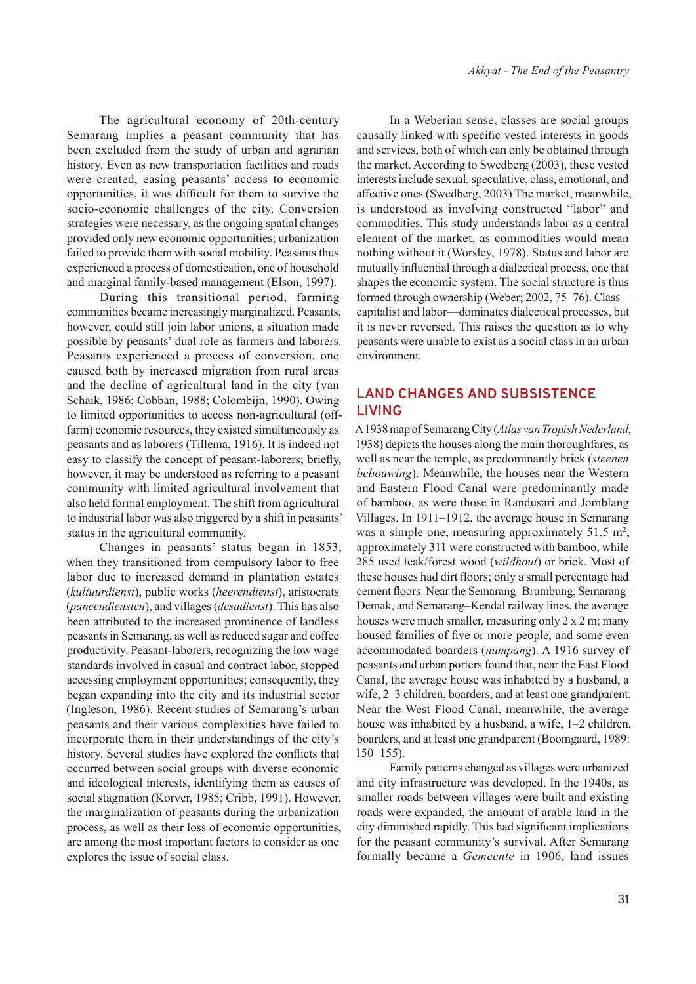The agricultural economy of 20th-century Semarang implies a peasant community that has been excluded from the study of urban and agrarian history. Even as new transportation facilities and roads were created, easing peasants' access to economic opportunities, it was difficult for them to survive the socio-economic challenges of the city. Conversion strategies were necessary, as the ongoing spatial changes provided only new economic opportunities; urbanization failed to provide them with social mobility. Peasants thus experienced a process of domestication, one of household and marginal family-based management (Elson, 1997).

During this transitional period, farming communities became increasingly marginalized. Peasants, however, could still join labor unions, a situation made possible by peasants' dual role as farmers and laborers. Peasants experienced a process of conversion, one caused both by increased migration from rural areas and the decline of agricultural land in the city (van Schaik, 1986; Cobban, 1988; Colombijn, 1990). Owing to limited opportunities to access non-agricultural (offfarm) economic resources, they existed simultaneously as peasants and as laborers (Tillema, 1916). It is indeed not easy to classify the concept of peasant-laborers; briefly, however, it may be understood as referring to a peasant community with limited agricultural involvement that also held formal employment. The shift from agricultural to industrial labor was also triggered by a shift in peasants' status in the agricultural community.

Changes in peasants' status began in 1853, when they transitioned from compulsory labor to free labor due to increased demand in plantation estates (*kultuurdienst*), public works (*heerendienst*), aristocrats (*pancendiensten*), and villages (*desadienst*). This has also been attributed to the increased prominence of landless peasants in Semarang, as well as reduced sugar and coffee productivity. Peasant-laborers, recognizing the low wage standards involved in casual and contract labor, stopped accessing employment opportunities; consequently, they began expanding into the city and its industrial sector (Ingleson, 1986). Recent studies of Semarang's urban peasants and their various complexities have failed to incorporate them in their understandings of the city's history. Several studies have explored the conflicts that occurred between social groups with diverse economic and ideological interests, identifying them as causes of social stagnation (Korver, 1985; Cribb, 1991). However, the marginalization of peasants during the urbanization process, as well as their loss of economic opportunities, are among the most important factors to consider as one explores the issue of social class.

In a Weberian sense, classes are social groups causally linked with specific vested interests in goods and services, both of which can only be obtained through the market. According to Swedberg (2003), these vested interests include sexual, speculative, class, emotional, and affective ones (Swedberg, 2003) The market, meanwhile, is understood as involving constructed "labor" and commodities. This study understands labor as a central element of the market, as commodities would mean nothing without it (Worsley, 1978). Status and labor are mutually influential through a dialectical process, one that shapes the economic system. The social structure is thus formed through ownership (Weber; 2002, 75–76). Class capitalist and labor—dominates dialectical processes, but it is never reversed. This raises the question as to why peasants were unable to exist as a social class in an urban environment.

## **LAND CHANGES AND SUBSISTENCE LIVING**

A 1938 map of Semarang City (*Atlas van Tropish Nederland*, 1938) depicts the houses along the main thoroughfares, as well as near the temple, as predominantly brick (*steenen bebouwing*). Meanwhile, the houses near the Western and Eastern Flood Canal were predominantly made of bamboo, as were those in Randusari and Jomblang Villages. In 1911–1912, the average house in Semarang was a simple one, measuring approximately  $51.5 \text{ m}^2$ ; approximately 311 were constructed with bamboo, while 285 used teak/forest wood (*wildhout*) or brick. Most of these houses had dirt floors; only a small percentage had cement floors. Near the Semarang–Brumbung, Semarang– Demak, and Semarang–Kendal railway lines, the average houses were much smaller, measuring only 2 x 2 m; many housed families of five or more people, and some even accommodated boarders (*numpang*). A 1916 survey of peasants and urban porters found that, near the East Flood Canal, the average house was inhabited by a husband, a wife, 2–3 children, boarders, and at least one grandparent. Near the West Flood Canal, meanwhile, the average house was inhabited by a husband, a wife,  $1-2$  children, boarders, and at least one grandparent (Boomgaard, 1989:  $150 - 155$ ).

Family patterns changed as villages were urbanized and city infrastructure was developed. In the 1940s, as smaller roads between villages were built and existing roads were expanded, the amount of arable land in the city diminished rapidly. This had significant implications for the peasant community's survival. After Semarang formally became a *Gemeente* in 1906, land issues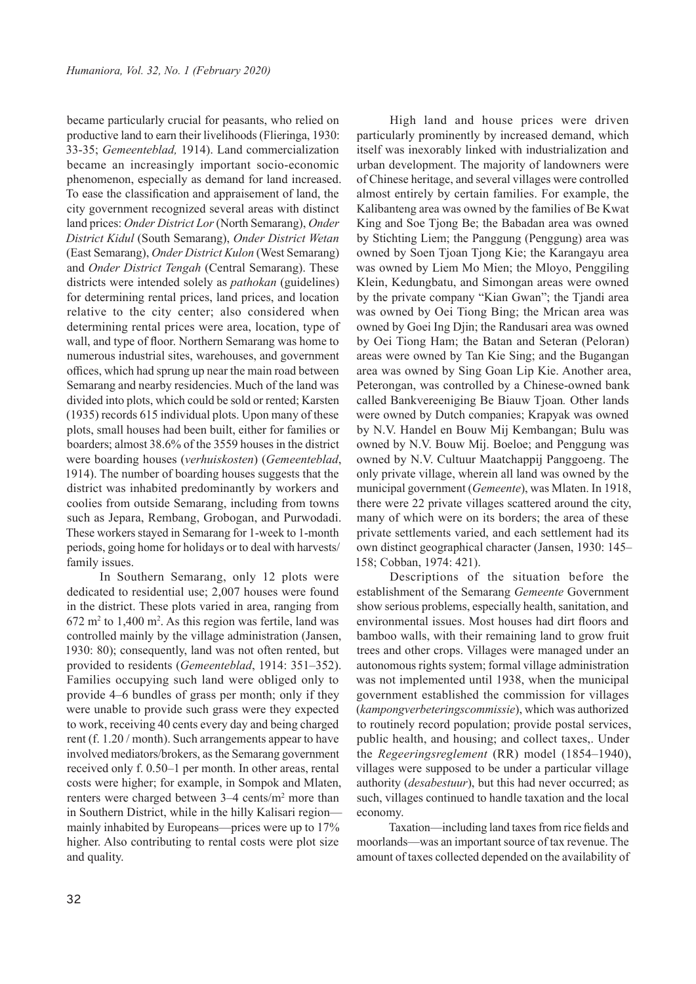became particularly crucial for peasants, who relied on productive land to earn their livelihoods (Flieringa, 1930: 33-35; *Gemeenteblad,* 1914). Land commercialization became an increasingly important socio-economic phenomenon, especially as demand for land increased. To ease the classification and appraisement of land, the city government recognized several areas with distinct land prices: *Onder District Lor* (North Semarang), *Onder District Kidul* (South Semarang), *Onder District Wetan* (East Semarang), *Onder District Kulon* (West Semarang) and *Onder District Tengah* (Central Semarang). These districts were intended solely as *pathokan* (guidelines) for determining rental prices, land prices, and location relative to the city center; also considered when determining rental prices were area, location, type of wall, and type of floor. Northern Semarang was home to numerous industrial sites, warehouses, and government offices, which had sprung up near the main road between Semarang and nearby residencies. Much of the land was divided into plots, which could be sold or rented; Karsten (1935) records 615 individual plots. Upon many of these plots, small houses had been built, either for families or boarders; almost 38.6% of the 3559 houses in the district were boarding houses (*verhuiskosten*) (*Gemeenteblad*, 1914). The number of boarding houses suggests that the district was inhabited predominantly by workers and coolies from outside Semarang, including from towns such as Jepara, Rembang, Grobogan, and Purwodadi. These workers stayed in Semarang for 1-week to 1-month periods, going home for holidays or to deal with harvests/ family issues.

In Southern Semarang, only 12 plots were dedicated to residential use; 2,007 houses were found in the district. These plots varied in area, ranging from  $672 \text{ m}^2$  to  $1,400 \text{ m}^2$ . As this region was fertile, land was controlled mainly by the village administration (Jansen, 1930: 80); consequently, land was not often rented, but provided to residents (*Gemeenteblad*, 1914: 351–352). Families occupying such land were obliged only to provide 4–6 bundles of grass per month; only if they were unable to provide such grass were they expected to work, receiving 40 cents every day and being charged rent (f. 1.20 / month). Such arrangements appear to have involved mediators/brokers, as the Semarang government received only f. 0.50–1 per month. In other areas, rental costs were higher; for example, in Sompok and Mlaten, renters were charged between 3–4 cents/m<sup>2</sup> more than in Southern District, while in the hilly Kalisari region mainly inhabited by Europeans—prices were up to 17% higher. Also contributing to rental costs were plot size and quality.

High land and house prices were driven particularly prominently by increased demand, which itself was inexorably linked with industrialization and urban development. The majority of landowners were of Chinese heritage, and several villages were controlled almost entirely by certain families. For example, the Kalibanteng area was owned by the families of Be Kwat King and Soe Tjong Be; the Babadan area was owned by Stichting Liem; the Panggung (Penggung) area was owned by Soen Tjoan Tjong Kie; the Karangayu area was owned by Liem Mo Mien; the Mloyo, Penggiling Klein, Kedungbatu, and Simongan areas were owned by the private company "Kian Gwan"; the Tjandi area was owned by Oei Tiong Bing; the Mrican area was owned by Goei Ing Djin; the Randusari area was owned by Oei Tiong Ham; the Batan and Seteran (Peloran) areas were owned by Tan Kie Sing; and the Bugangan area was owned by Sing Goan Lip Kie. Another area, Peterongan, was controlled by a Chinese-owned bank called Bankvereeniging Be Biauw Tjoan*.* Other lands were owned by Dutch companies; Krapyak was owned by N.V. Handel en Bouw Mij Kembangan; Bulu was owned by N.V. Bouw Mij. Boeloe; and Penggung was owned by N.V. Cultuur Maatchappij Panggoeng. The only private village, wherein all land was owned by the municipal government (*Gemeente*), was Mlaten. In 1918, there were 22 private villages scattered around the city, many of which were on its borders; the area of these private settlements varied, and each settlement had its own distinct geographical character (Jansen, 1930: 145– 158; Cobban, 1974: 421).

Descriptions of the situation before the establishment of the Semarang *Gemeente* Government show serious problems, especially health, sanitation, and environmental issues. Most houses had dirt floors and bamboo walls, with their remaining land to grow fruit trees and other crops. Villages were managed under an autonomous rights system; formal village administration was not implemented until 1938, when the municipal government established the commission for villages (*kampongverbeteringscommissie*), which was authorized to routinely record population; provide postal services, public health, and housing; and collect taxes,. Under the *Regeeringsreglement* (RR) model (1854–1940), villages were supposed to be under a particular village authority (*desabestuur*), but this had never occurred; as such, villages continued to handle taxation and the local economy.

Taxation—including land taxes from rice fields and moorlands—was an important source of tax revenue. The amount of taxes collected depended on the availability of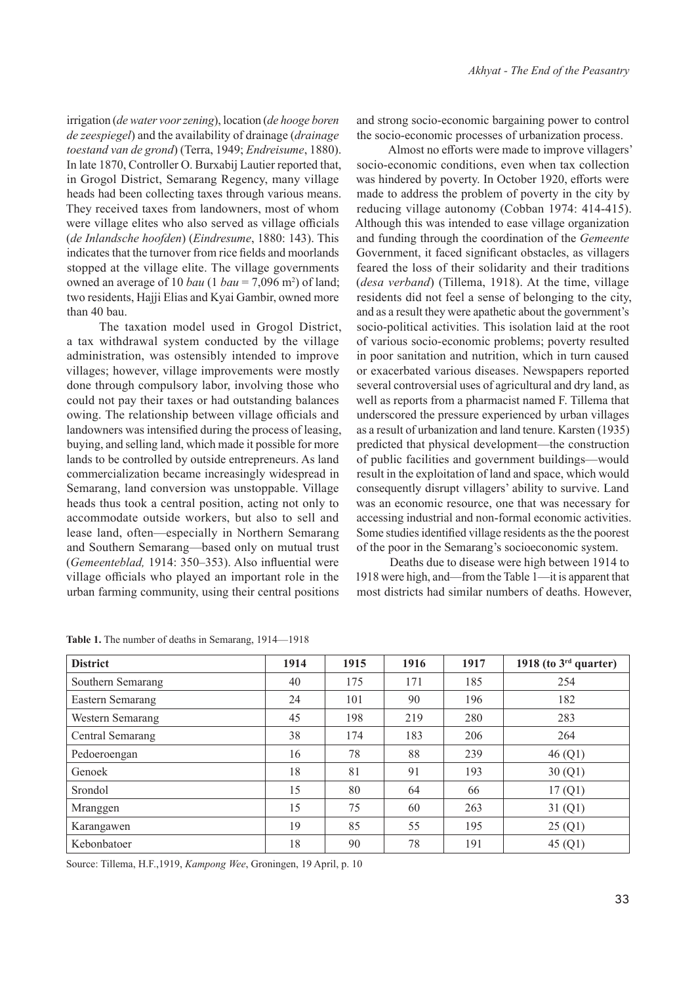irrigation (*de water voor zening*), location (*de hooge boren de zeespiegel*) and the availability of drainage (*drainage toestand van de grond*) (Terra, 1949; *Endreisume*, 1880). In late 1870, Controller O. Burxabij Lautier reported that, in Grogol District, Semarang Regency, many village heads had been collecting taxes through various means. They received taxes from landowners, most of whom were village elites who also served as village officials (*de Inlandsche hoofden*) (*Eindresume*, 1880: 143). This indicates that the turnover from rice fields and moorlands stopped at the village elite. The village governments owned an average of 10 *bau* (1 *bau* = 7,096 m<sup>2</sup>) of land; two residents, Hajji Elias and Kyai Gambir, owned more than 40 bau.

The taxation model used in Grogol District, a tax withdrawal system conducted by the village administration, was ostensibly intended to improve villages; however, village improvements were mostly done through compulsory labor, involving those who could not pay their taxes or had outstanding balances owing. The relationship between village officials and landowners was intensified during the process of leasing, buying, and selling land, which made it possible for more lands to be controlled by outside entrepreneurs. As land commercialization became increasingly widespread in Semarang, land conversion was unstoppable. Village heads thus took a central position, acting not only to accommodate outside workers, but also to sell and lease land, often—especially in Northern Semarang and Southern Semarang—based only on mutual trust (*Gemeenteblad,* 1914: 350–353). Also influential were village officials who played an important role in the urban farming community, using their central positions

and strong socio-economic bargaining power to control the socio-economic processes of urbanization process.

Almost no efforts were made to improve villagers' socio-economic conditions, even when tax collection was hindered by poverty. In October 1920, efforts were made to address the problem of poverty in the city by reducing village autonomy (Cobban 1974: 414-415). Although this was intended to ease village organization and funding through the coordination of the *Gemeente*  Government, it faced significant obstacles, as villagers feared the loss of their solidarity and their traditions (*desa verband*) (Tillema, 1918). At the time, village residents did not feel a sense of belonging to the city, and as a result they were apathetic about the government's socio-political activities. This isolation laid at the root of various socio-economic problems; poverty resulted in poor sanitation and nutrition, which in turn caused or exacerbated various diseases. Newspapers reported several controversial uses of agricultural and dry land, as well as reports from a pharmacist named F. Tillema that underscored the pressure experienced by urban villages as a result of urbanization and land tenure. Karsten (1935) predicted that physical development—the construction of public facilities and government buildings—would result in the exploitation of land and space, which would consequently disrupt villagers' ability to survive. Land was an economic resource, one that was necessary for accessing industrial and non-formal economic activities. Some studies identified village residents as the the poorest of the poor in the Semarang's socioeconomic system.

Deaths due to disease were high between 1914 to 1918 were high, and—from the Table 1—it is apparent that most districts had similar numbers of deaths. However,

| <b>District</b>   | 1914 | 1915 | 1916 | 1917 | 1918 (to $3rd$ quarter) |
|-------------------|------|------|------|------|-------------------------|
| Southern Semarang | 40   | 175  | 171  | 185  | 254                     |
| Eastern Semarang  | 24   | 101  | 90   | 196  | 182                     |
| Western Semarang  | 45   | 198  | 219  | 280  | 283                     |
| Central Semarang  | 38   | 174  | 183  | 206  | 264                     |
| Pedoeroengan      | 16   | 78   | 88   | 239  | 46(Q1)                  |
| Genoek            | 18   | 81   | 91   | 193  | 30(Q1)                  |
| Srondol           | 15   | 80   | 64   | 66   | 17(Q1)                  |
| Mranggen          | 15   | 75   | 60   | 263  | 31(Q1)                  |
| Karangawen        | 19   | 85   | 55   | 195  | 25(Q1)                  |
| Kebonbatoer       | 18   | 90   | 78   | 191  | 45(Q1)                  |

Table 1. The number of deaths in Semarang, 1914–1918

Source: Tillema, H.F.,1919, *Kampong Wee*, Groningen, 19 April, p. 10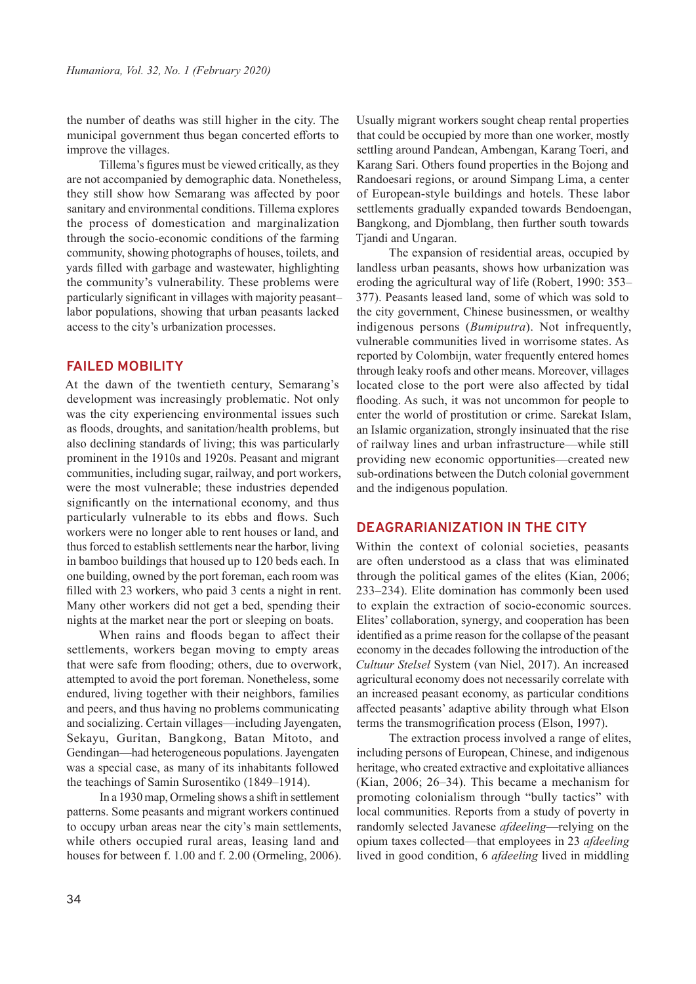the number of deaths was still higher in the city. The municipal government thus began concerted efforts to improve the villages.

Tillema's figures must be viewed critically, as they are not accompanied by demographic data. Nonetheless, they still show how Semarang was affected by poor sanitary and environmental conditions. Tillema explores the process of domestication and marginalization through the socio-economic conditions of the farming community, showing photographs of houses, toilets, and yards filled with garbage and wastewater, highlighting the community's vulnerability. These problems were particularly significant in villages with majority peasant– labor populations, showing that urban peasants lacked access to the city's urbanization processes.

## **FAILED MOBILITY**

At the dawn of the twentieth century, Semarang's development was increasingly problematic. Not only was the city experiencing environmental issues such as floods, droughts, and sanitation/health problems, but also declining standards of living; this was particularly prominent in the 1910s and 1920s. Peasant and migrant communities, including sugar, railway, and port workers, were the most vulnerable; these industries depended significantly on the international economy, and thus particularly vulnerable to its ebbs and flows. Such workers were no longer able to rent houses or land, and thus forced to establish settlements near the harbor, living in bamboo buildings that housed up to 120 beds each. In one building, owned by the port foreman, each room was filled with 23 workers, who paid 3 cents a night in rent. Many other workers did not get a bed, spending their nights at the market near the port or sleeping on boats.

When rains and floods began to affect their settlements, workers began moving to empty areas that were safe from flooding; others, due to overwork, attempted to avoid the port foreman. Nonetheless, some endured, living together with their neighbors, families and peers, and thus having no problems communicating and socializing. Certain villages—including Jayengaten, Sekayu, Guritan, Bangkong, Batan Mitoto, and Gendingan—had heterogeneous populations. Jayengaten was a special case, as many of its inhabitants followed the teachings of Samin Surosentiko (1849–1914).

In a 1930 map, Ormeling shows a shift in settlement patterns. Some peasants and migrant workers continued to occupy urban areas near the city's main settlements, while others occupied rural areas, leasing land and houses for between f. 1.00 and f. 2.00 (Ormeling, 2006). Usually migrant workers sought cheap rental properties that could be occupied by more than one worker, mostly settling around Pandean, Ambengan, Karang Toeri, and Karang Sari. Others found properties in the Bojong and Randoesari regions, or around Simpang Lima, a center of European-style buildings and hotels. These labor settlements gradually expanded towards Bendoengan, Bangkong, and Djomblang, then further south towards Tjandi and Ungaran.

The expansion of residential areas, occupied by landless urban peasants, shows how urbanization was eroding the agricultural way of life (Robert, 1990: 353– 377). Peasants leased land, some of which was sold to the city government, Chinese businessmen, or wealthy indigenous persons (*Bumiputra*). Not infrequently, vulnerable communities lived in worrisome states. As reported by Colombijn, water frequently entered homes through leaky roofs and other means. Moreover, villages located close to the port were also affected by tidal flooding. As such, it was not uncommon for people to enter the world of prostitution or crime. Sarekat Islam, an Islamic organization, strongly insinuated that the rise of railway lines and urban infrastructure—while still providing new economic opportunities—created new sub-ordinations between the Dutch colonial government and the indigenous population.

### **DEAGRARIANIZATION IN THE CITY**

Within the context of colonial societies, peasants are often understood as a class that was eliminated through the political games of the elites (Kian, 2006; 233–234). Elite domination has commonly been used to explain the extraction of socio-economic sources. Elites' collaboration, synergy, and cooperation has been identified as a prime reason for the collapse of the peasant economy in the decades following the introduction of the *Cultuur Stelsel* System (van Niel, 2017). An increased agricultural economy does not necessarily correlate with an increased peasant economy, as particular conditions affected peasants' adaptive ability through what Elson terms the transmogrification process (Elson, 1997).

The extraction process involved a range of elites, including persons of European, Chinese, and indigenous heritage, who created extractive and exploitative alliances (Kian, 2006; 26–34). This became a mechanism for promoting colonialism through "bully tactics" with local communities. Reports from a study of poverty in randomly selected Javanese *afdeeling*—relying on the opium taxes collected—that employees in 23 *afdeeling*  lived in good condition, 6 *afdeeling* lived in middling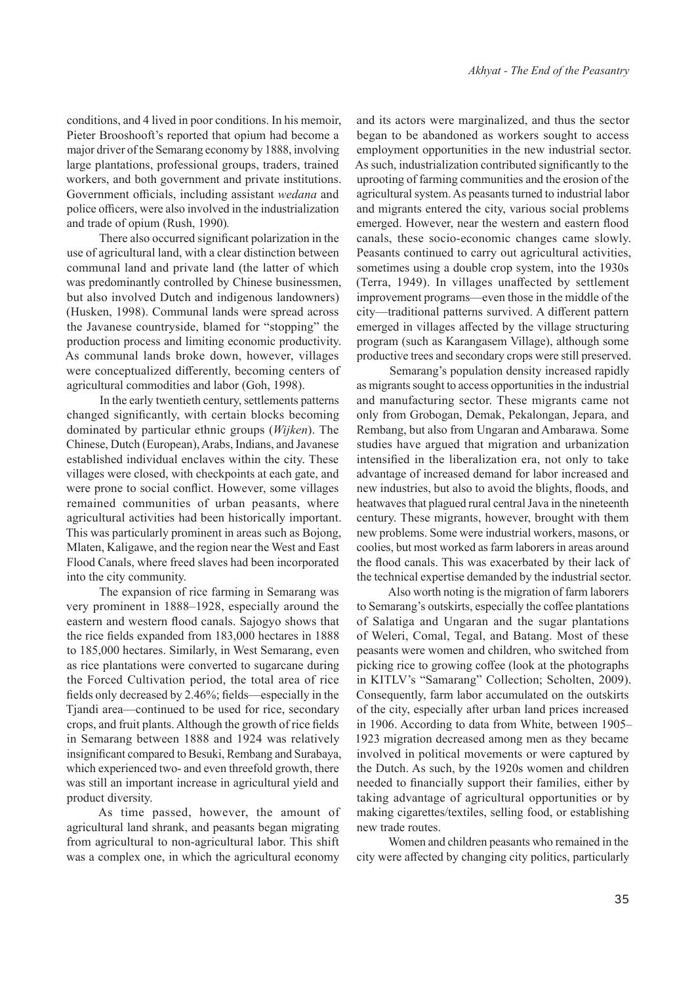conditions, and 4 lived in poor conditions. In his memoir, Pieter Brooshooft's reported that opium had become a major driver of the Semarang economy by 1888, involving large plantations, professional groups, traders, trained workers, and both government and private institutions. Government officials, including assistant *wedana* and police officers, were also involved in the industrialization and trade of opium (Rush, 1990)*.*

There also occurred significant polarization in the use of agricultural land, with a clear distinction between communal land and private land (the latter of which was predominantly controlled by Chinese businessmen, but also involved Dutch and indigenous landowners) (Husken, 1998). Communal lands were spread across the Javanese countryside, blamed for "stopping" the production process and limiting economic productivity. As communal lands broke down, however, villages were conceptualized differently, becoming centers of agricultural commodities and labor (Goh, 1998).

In the early twentieth century, settlements patterns changed significantly, with certain blocks becoming dominated by particular ethnic groups (*Wijken*). The Chinese, Dutch (European), Arabs, Indians, and Javanese established individual enclaves within the city. These villages were closed, with checkpoints at each gate, and were prone to social conflict. However, some villages remained communities of urban peasants, where agricultural activities had been historically important. This was particularly prominent in areas such as Bojong, Mlaten, Kaligawe, and the region near the West and East Flood Canals, where freed slaves had been incorporated into the city community.

The expansion of rice farming in Semarang was very prominent in 1888–1928, especially around the eastern and western flood canals. Sajogyo shows that the rice fields expanded from 183,000 hectares in 1888 to 185,000 hectares. Similarly, in West Semarang, even as rice plantations were converted to sugarcane during the Forced Cultivation period, the total area of rice fields only decreased by 2.46%; fields—especially in the Tjandi area—continued to be used for rice, secondary crops, and fruit plants. Although the growth of rice fields in Semarang between 1888 and 1924 was relatively insignificant compared to Besuki, Rembang and Surabaya, which experienced two- and even threefold growth, there was still an important increase in agricultural yield and product diversity.

As time passed, however, the amount of agricultural land shrank, and peasants began migrating from agricultural to non-agricultural labor. This shift was a complex one, in which the agricultural economy

and its actors were marginalized, and thus the sector began to be abandoned as workers sought to access employment opportunities in the new industrial sector. As such, industrialization contributed significantly to the uprooting of farming communities and the erosion of the agricultural system. As peasants turned to industrial labor and migrants entered the city, various social problems emerged. However, near the western and eastern flood canals, these socio-economic changes came slowly. Peasants continued to carry out agricultural activities, sometimes using a double crop system, into the 1930s (Terra, 1949). In villages unaffected by settlement improvement programs—even those in the middle of the city—traditional patterns survived. A different pattern emerged in villages affected by the village structuring program (such as Karangasem Village), although some productive trees and secondary crops were still preserved.

Semarang's population density increased rapidly as migrants sought to access opportunities in the industrial and manufacturing sector. These migrants came not only from Grobogan, Demak, Pekalongan, Jepara, and Rembang, but also from Ungaran and Ambarawa. Some studies have argued that migration and urbanization intensified in the liberalization era, not only to take advantage of increased demand for labor increased and new industries, but also to avoid the blights, floods, and heatwaves that plagued rural central Java in the nineteenth century. These migrants, however, brought with them new problems. Some were industrial workers, masons, or coolies, but most worked as farm laborers in areas around the flood canals. This was exacerbated by their lack of the technical expertise demanded by the industrial sector.

Also worth noting is the migration of farm laborers to Semarang's outskirts, especially the coffee plantations of Salatiga and Ungaran and the sugar plantations of Weleri, Comal, Tegal, and Batang. Most of these peasants were women and children, who switched from picking rice to growing coffee (look at the photographs in KITLV's "Samarang" Collection; Scholten, 2009). Consequently, farm labor accumulated on the outskirts of the city, especially after urban land prices increased in 1906. According to data from White, between 1905– 1923 migration decreased among men as they became involved in political movements or were captured by the Dutch. As such, by the 1920s women and children needed to financially support their families, either by taking advantage of agricultural opportunities or by making cigarettes/textiles, selling food, or establishing new trade routes.

Women and children peasants who remained in the city were affected by changing city politics, particularly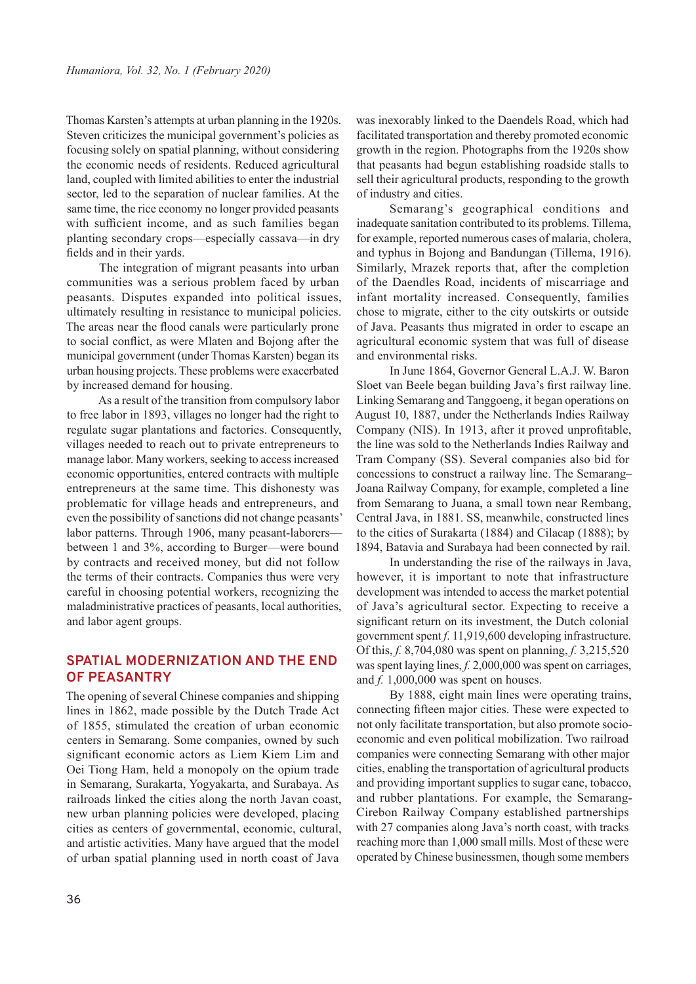Thomas Karsten's attempts at urban planning in the 1920s. Steven criticizes the municipal government's policies as focusing solely on spatial planning, without considering the economic needs of residents. Reduced agricultural land, coupled with limited abilities to enter the industrial sector, led to the separation of nuclear families. At the same time, the rice economy no longer provided peasants with sufficient income, and as such families began planting secondary crops—especially cassava—in dry fields and in their yards.

The integration of migrant peasants into urban communities was a serious problem faced by urban peasants. Disputes expanded into political issues, ultimately resulting in resistance to municipal policies. The areas near the flood canals were particularly prone to social conflict, as were Mlaten and Bojong after the municipal government (under Thomas Karsten) began its urban housing projects. These problems were exacerbated by increased demand for housing.

As a result of the transition from compulsory labor to free labor in 1893, villages no longer had the right to regulate sugar plantations and factories. Consequently, villages needed to reach out to private entrepreneurs to manage labor. Many workers, seeking to access increased economic opportunities, entered contracts with multiple entrepreneurs at the same time. This dishonesty was problematic for village heads and entrepreneurs, and even the possibility of sanctions did not change peasants' labor patterns. Through 1906, many peasant-laborers between 1 and 3%, according to Burger—were bound by contracts and received money, but did not follow the terms of their contracts. Companies thus were very careful in choosing potential workers, recognizing the maladministrative practices of peasants, local authorities, and labor agent groups.

## **SPATIAL MODERNIZATION AND THE END OF PEASANTRY**

The opening of several Chinese companies and shipping lines in 1862, made possible by the Dutch Trade Act of 1855, stimulated the creation of urban economic centers in Semarang. Some companies, owned by such significant economic actors as Liem Kiem Lim and Oei Tiong Ham, held a monopoly on the opium trade in Semarang, Surakarta, Yogyakarta, and Surabaya. As railroads linked the cities along the north Javan coast, new urban planning policies were developed, placing cities as centers of governmental, economic, cultural, and artistic activities. Many have argued that the model of urban spatial planning used in north coast of Java

was inexorably linked to the Daendels Road, which had facilitated transportation and thereby promoted economic growth in the region. Photographs from the 1920s show that peasants had begun establishing roadside stalls to sell their agricultural products, responding to the growth of industry and cities.

Semarang's geographical conditions and inadequate sanitation contributed to its problems. Tillema, for example, reported numerous cases of malaria, cholera, and typhus in Bojong and Bandungan (Tillema, 1916). Similarly, Mrazek reports that, after the completion of the Daendles Road, incidents of miscarriage and infant mortality increased. Consequently, families chose to migrate, either to the city outskirts or outside of Java. Peasants thus migrated in order to escape an agricultural economic system that was full of disease and environmental risks.

In June 1864, Governor General L.A.J. W. Baron Sloet van Beele began building Java's first railway line. Linking Semarang and Tanggoeng, it began operations on August 10, 1887, under the Netherlands Indies Railway Company (NIS). In 1913, after it proved unprofitable, the line was sold to the Netherlands Indies Railway and Tram Company (SS). Several companies also bid for concessions to construct a railway line. The Semarang– Joana Railway Company, for example, completed a line from Semarang to Juana, a small town near Rembang, Central Java, in 1881. SS, meanwhile, constructed lines to the cities of Surakarta (1884) and Cilacap (1888); by 1894, Batavia and Surabaya had been connected by rail.

In understanding the rise of the railways in Java, however, it is important to note that infrastructure development was intended to access the market potential of Java's agricultural sector. Expecting to receive a significant return on its investment, the Dutch colonial government spent *f*. 11,919,600 developing infrastructure. Of this, *f.* 8,704,080 was spent on planning, *f.* 3,215,520 was spent laying lines, *f.* 2,000,000 was spent on carriages, and *f.* 1,000,000 was spent on houses.

By 1888, eight main lines were operating trains, connecting fifteen major cities. These were expected to not only facilitate transportation, but also promote socioeconomic and even political mobilization. Two railroad companies were connecting Semarang with other major cities, enabling the transportation of agricultural products and providing important supplies to sugar cane, tobacco, and rubber plantations. For example, the Semarang-Cirebon Railway Company established partnerships with 27 companies along Java's north coast, with tracks reaching more than 1,000 small mills. Most of these were operated by Chinese businessmen, though some members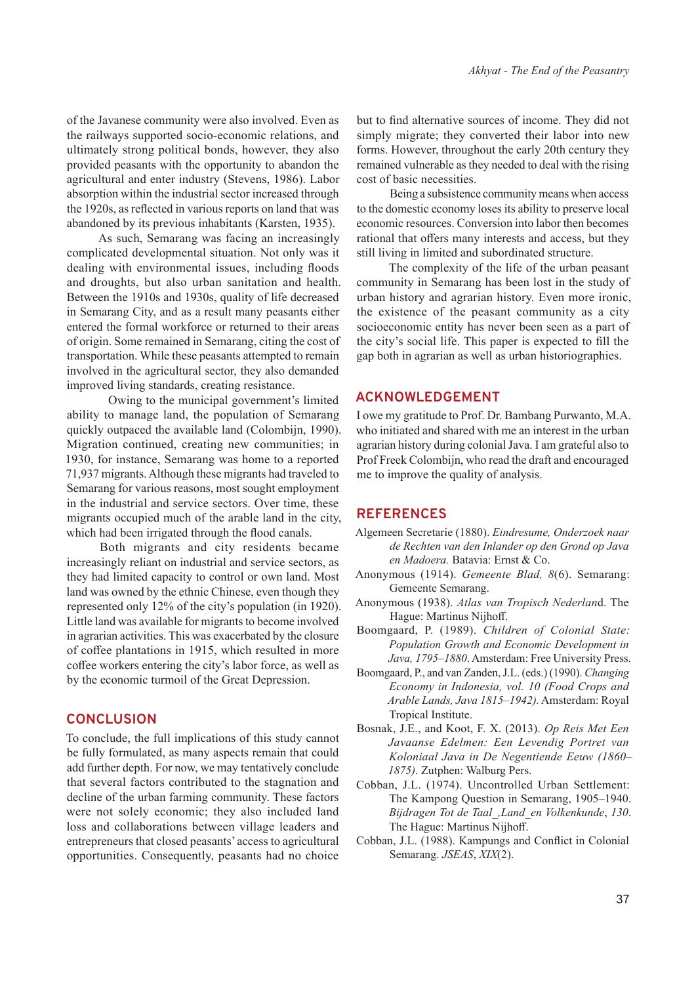of the Javanese community were also involved. Even as the railways supported socio-economic relations, and ultimately strong political bonds, however, they also provided peasants with the opportunity to abandon the agricultural and enter industry (Stevens, 1986). Labor absorption within the industrial sector increased through the 1920s, as reflected in various reports on land that was abandoned by its previous inhabitants (Karsten, 1935).

As such, Semarang was facing an increasingly complicated developmental situation. Not only was it dealing with environmental issues, including floods and droughts, but also urban sanitation and health. Between the 1910s and 1930s, quality of life decreased in Semarang City, and as a result many peasants either entered the formal workforce or returned to their areas of origin. Some remained in Semarang, citing the cost of transportation. While these peasants attempted to remain involved in the agricultural sector, they also demanded improved living standards, creating resistance.

 Owing to the municipal government's limited ability to manage land, the population of Semarang quickly outpaced the available land (Colombijn, 1990). Migration continued, creating new communities; in 1930, for instance, Semarang was home to a reported 71,937 migrants. Although these migrants had traveled to Semarang for various reasons, most sought employment in the industrial and service sectors. Over time, these migrants occupied much of the arable land in the city, which had been irrigated through the flood canals.

Both migrants and city residents became increasingly reliant on industrial and service sectors, as they had limited capacity to control or own land. Most land was owned by the ethnic Chinese, even though they represented only 12% of the city's population (in 1920). Little land was available for migrants to become involved in agrarian activities. This was exacerbated by the closure of coffee plantations in 1915, which resulted in more coffee workers entering the city's labor force, as well as by the economic turmoil of the Great Depression.

## **CONCLUSION**

To conclude, the full implications of this study cannot be fully formulated, as many aspects remain that could add further depth. For now, we may tentatively conclude that several factors contributed to the stagnation and decline of the urban farming community. These factors were not solely economic; they also included land loss and collaborations between village leaders and entrepreneurs that closed peasants' access to agricultural opportunities. Consequently, peasants had no choice but to find alternative sources of income. They did not simply migrate; they converted their labor into new forms. However, throughout the early 20th century they remained vulnerable as they needed to deal with the rising cost of basic necessities.

Being a subsistence community means when access to the domestic economy loses its ability to preserve local economic resources. Conversion into labor then becomes rational that offers many interests and access, but they still living in limited and subordinated structure.

The complexity of the life of the urban peasant community in Semarang has been lost in the study of urban history and agrarian history. Even more ironic, the existence of the peasant community as a city socioeconomic entity has never been seen as a part of the city's social life. This paper is expected to fill the gap both in agrarian as well as urban historiographies.

### **ACKNOWLEDGEMENT**

I owe my gratitude to Prof. Dr. Bambang Purwanto, M.A. who initiated and shared with me an interest in the urban agrarian history during colonial Java. I am grateful also to Prof Freek Colombijn, who read the draft and encouraged me to improve the quality of analysis.

#### **REFERENCES**

- Algemeen Secretarie (1880). *Eindresume, Onderzoek naar de Rechten van den Inlander op den Grond op Java en Madoera.* Batavia: Ernst & Co.
- Anonymous (1914). *Gemeente Blad, 8*(6). Semarang: Gemeente Semarang.
- Anonymous (1938). *Atlas van Tropisch Nederlan*d. The Hague: Martinus Nijhoff.
- Boomgaard, P. (1989). *Children of Colonial State: Population Growth and Economic Development in Java, 1795–1880*. Amsterdam: Free University Press.
- Boomgaard, P., and van Zanden, J.L. (eds.) (1990). *Changing Economy in Indonesia, vol. 10 (Food Crops and Arable Lands, Java 1815–1942).* Amsterdam: Royal Tropical Institute.
- Bosnak, J.E., and Koot, F. X. (2013). *Op Reis Met Een Javaanse Edelmen: Een Levendig Portret van Koloniaal Java in De Negentiende Eeuw (1860– 1875)*. Zutphen: Walburg Pers.
- Cobban, J.L. (1974). Uncontrolled Urban Settlement: The Kampong Question in Semarang, 1905–1940. *Bijdragen Tot de Taal\_,Land\_en Volkenkunde*, *130*. The Hague: Martinus Nijhoff.
- Cobban, J.L. (1988). Kampungs and Conflict in Colonial Semarang. *JSEAS*, *XIX*(2).